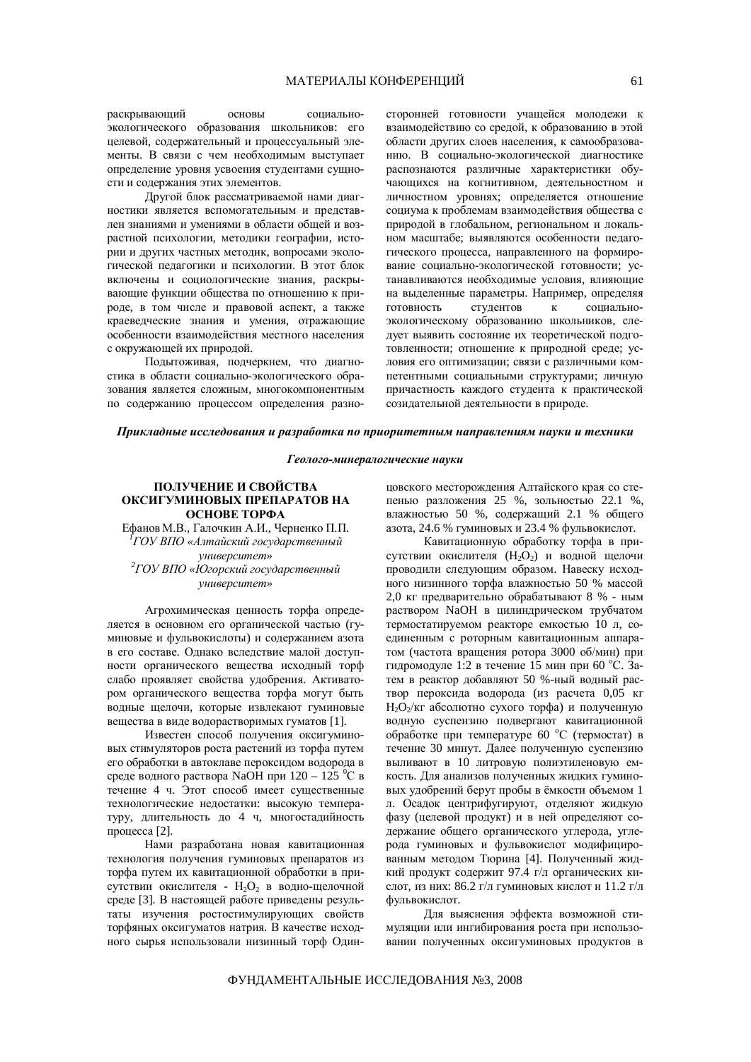раскрывающий основы социальноэкологического образования школьников: его целевой, содержательный и процессуальный элементы. В связи с чем необходимым выступает определение уровня усвоения студентами сущности и содержания этих элементов.

Другой блок рассматриваемой нами диагностики является вспомогательным и представлен знаниями и умениями в области общей и возрастной психологии, методики географии, истории и других частных методик, вопросами экологической педагогики и психологии. В этот блок включены и социологические знания, раскрывающие функции общества по отношению к природе, в том числе и правовой аспект, а также краеведческие знания и умения, отражающие особенности взаимодействия местного населения с окружающей их природой.

Подытоживая, подчеркнем, что диагностика в области социально-экологического образования является сложным, многокомпонентным по содержанию процессом определения разносторонней готовности учащейся молодежи к взаимодействию со средой, к образованию в этой области других слоев населения, к самообразованию. В социально-экологической диагностике распознаются различные характеристики обучающихся на когнитивном, деятельностном и личностном уровнях; определяется отношение социума к проблемам взаимодействия общества с природой в глобальном, региональном и локальном масштабе; выявляются особенности педагогического процесса, направленного на формирование социально-экологической готовности; устанавливаются необходимые условия, влияющие на выделенные параметры. Например, определяя готовность студентов к социальноэкологическому образованию школьников, следует выявить состояние их теоретической подготовленности; отношение к природной среде; условия его оптимизации; связи с различными компетентными социальными структурами; личную причастность каждого студента к практической созидательной деятельности в природе.

#### *ɉɪɢɤɥɚɞɧɵɟɢɫɫɥɟɞɨɜɚɧɢɹɢɪɚɡɪɚɛɨɬɤɚɩɨɩɪɢɨɪɢɬɟɬɧɵɦɧɚɩɪɚɜɥɟɧɢɹɦɧɚɭɤɢɢɬɟɯɧɢɤɢ*

#### Геолого-минералогические науки

# ПОЛУЧЕНИЕ И СВОЙСТВА ОКСИГУМИНОВЫХ ПРЕПАРАТОВ НА ОСНОВЕ ТОРФА

Ефанов М.В., Галочкин А.И., Черненко П.П. <sup>*Г*</sup>ГОУ ВПО «Алтайский государственный *ɭɧɢɜɟɪɫɢɬɟɬ»* <sup>2</sup> ГОУ ВПО «Югорский государственный *ɭɧɢɜɟɪɫɢɬɟɬ»*

Агрохимическая ценность торфа определяется в основном его органической частью (гуминовые и фульвокислоты) и содержанием азота в его составе. Однако вследствие малой доступности органического вещества исходный торф слабо проявляет свойства удобрения. Активатором органического вещества торфа могут быть водные щелочи, которые извлекают гуминовые вещества в виде водорастворимых гуматов [1].

Известен способ получения оксигуминовых стимуляторов роста растений из торфа путем его обработки в автоклаве пероксидом водорода в среде водного раствора NaOH при  $120 - 125$  °C в течение 4 ч. Этот способ имеет существенные технологические недостатки: высокую температуру, длительность до 4 ч, многостадийность процесса [2].

Нами разработана новая кавитационная технология получения гуминовых препаратов из торфа путем их кавитационной обработки в присутствии окислителя - Н<sub>2</sub>О<sub>2</sub> в водно-щелочной среде [3]. В настоящей работе приведены результаты изучения ростостимулирующих свойств торфяных оксигуматов натрия. В качестве исходного сырья использовали низинный торф Одинцовского месторождения Алтайского края со степенью разложения 25 %, зольностью 22.1 %, влажностью 50 %, содержащий 2.1 % общего азота, 24.6 % гуминовых и 23.4 % фульвокислот.

Кавитационную обработку торфа в присутствии окислителя (H<sub>2</sub>O<sub>2</sub>) и водной щелочи проводили следующим образом. Навеску исходного низинного торфа влажностью 50 % массой 2,0 кг предварительно обрабатывают 8 % - ным раствором NaOH в цилиндрическом трубчатом термостатируемом реакторе емкостью 10 л, соединенным с роторным кавитационным аппаратом (частота вращения ротора 3000 об/мин) при гидромодуле 1:2 в течение 15 мин при 60 °С. Затем в реактор добавляют 50 %-ный водный раствор пероксида водорода (из расчета 0,05 кг H<sub>2</sub>O<sub>2</sub>/кг абсолютно сухого торфа) и полученную водную суспензию подвергают кавитационной обработке при температуре 60 °С (термостат) в течение 30 минут. Далее полученную суспензию выливают в 10 литровую полиэтиленовую емкость. Для анализов полученных жидких гуминовых удобрений берут пробы в ёмкости объемом 1 л. Осадок центрифугируют, отделяют жидкую фазу (целевой продукт) и в ней определяют содержание общего органического углерода, углерода гуминовых и фульвокислот модифицированным методом Тюрина [4]. Полученный жидкий продукт содержит 97.4 г/л органических кислот, из них: 86.2 г/л гуминовых кислот и 11.2 г/л фульвокислот.

Для выяснения эффекта возможной стимуляции или ингибирования роста при использовании полученных оксигуминовых продуктов в